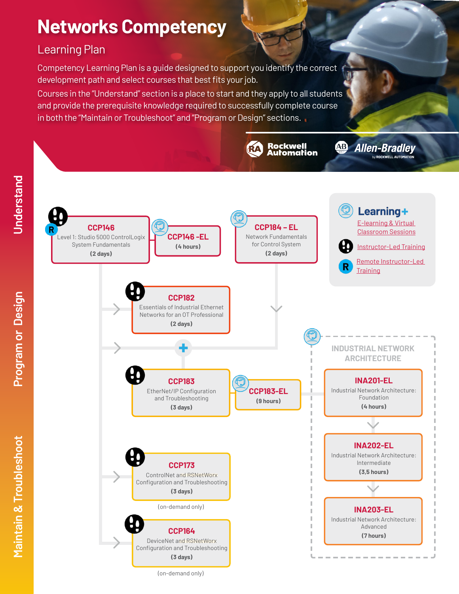# **Networks Competency**

## Learning Plan

Competency Learning Plan is a guide designed to support you identify the correct development path and select courses that best fits your job.

Courses in the "Understand" section is a place to start and they apply to all students and provide the prerequisite knowledge required to successfully complete course in both the "Maintain or Troubleshoot" and "Program or Design" sections.



(on-demand only)